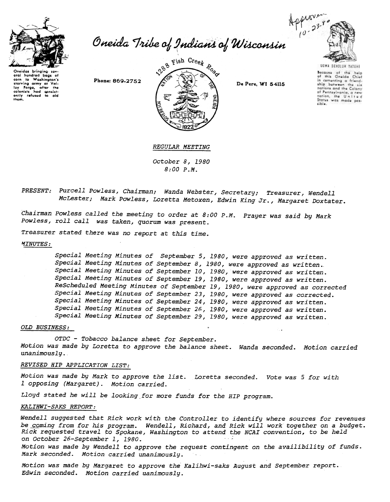

eral hundred bags of

corn to <del>www.....</del>...<br>starving army at Val-<br>lev Forge, after the

lay Forge, after the

thom

Approximation Approximation Approximation Approximation 23-90

Phone: 869-2752



De Pere, WI 54115



UGWA DENOLUN TATENE Secause of the help in comenting a friendonip between the six<br>nations and the Colony<br>of Pennsylvania, a new<br>nation, the United<br>Status was made pos-<br>sible.

## REGULAR MEETING

October 8, 1980  $8:00 P.M.$ 

PRESENT: Purcell Powless, Chairman; Wanda Webster, Secretary; Treasurer, Wendell McLester; Mark Powless, Loretta Metoxen, Edwin King Jr., Margaret Doxtater.

Chairman Powless called the meeting to order at 8:00 P.M. Prayer was said by Mark Powless, roll call was taken, quorum was present.

Treasurer stated there was no report at this time.

## *MINUTES:*

Special Meeting Minutes of September 5, 1980, were approved as written. Special Meeting Minutes of September 8, 1980, were approved as written. Special Meeting Minutes of September 10, 1980, were approved as written. Special Meeting Minutes of September 19, 1980, were approved as written. ReScheduled Meeting Minutes of September 19, 1980, were approved as corrected Special Meeting Minutes of September 23, 1980, were approved as corrected. Special Meeting Minutes of September 24, 1980, were approved as written. Special Meeting Minutes of September 26, 1980, were approved as written. Special Meeting Minutes of September 29, 1980, were approved as written.

### OLD BUSINESS:

OTDC - Tobacco balance sheet for September. Motion was made by Loretta to approve the balance sheet. Wanda seconded. Motion carried unanimously.

# REVISED HIP APPLICATION LIST:

Motion was made by Mark to approve the list. Loretta seconded. Vote was 5 for with 1 opposing (Margaret). Motion carried.

Lloyd stated he will be looking for more funds for the HIP program.

## KALIHWI-SAKS REPORT:

Wendell suggested that Rick work with the Controller to identify where sources for revenues be coming from for his program. Wendell, Richard, and Rick will work together on a budget. Rick requested travel to Spokane, Washington to attend the NCAI convention, to be held on October 26-September 1, 1980.

Motion was made by Wendell to approve the request contingent on the availibility of funds. Mark seconded. Motion carried unanimously.

Motion was made by Margaret to approve the Kalihwi-saks August and September report. Edwin seconded. Motion carried uanimously.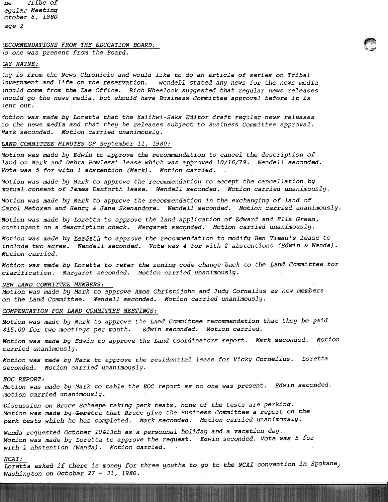nE rribe of egula." Meeting 'ctober 8, 1980 'age 2

## !~\:~ ~ECOMMENDATIONS FROM THE EDUCATION BOARD:

Io one was present from the Board.

## :AY HAYNE:

~ay is from the News Chronicle and would like to do an article of series on Tribal ;overnment and life on the reservation. Wendell stated any news for the news media ;hould come from the Lae Office. Rich Wheelock suggested that regular news releases ;hould go the news media, but should have Business Committee approval before it is ,ent out.

 $\curvearrowleft$ 

10tion was made by Loretta that the Kalihwi-Saks Editor draft regular news releases :0 the news media and that they be releases subject to Business Committee approval. Mark seconded. Motion carried unanimously.

## LAND COMMITTEE MINUTES OF September 11, 1980:

Yotion was made by Edwin to approve the recommendation to cancel the description of land on Mark and Debra Powless' lease which was approved 10/16/79. Wendell seconded. Vote was 5 for with I abstention (Mark). Motion carried.

~otion was made by Mark to approve the recommendation to accept the cancellation by mutual consent of James Danforth lease. Wendell seconded. Motion carried unanimously.

Motion was made by Mark to approve the recommendation in the exchanging of land of Carol Metoxen and Henry & Jane Skenandore. Wendell seconded. Motion carried unanimously.

Motion was made by Loretta to approve the land application of Edward and Ella Green, contingent on a description check. Margaret secqnded. Motion carried unanimously.

Motion was made by Loretta to approve the recommendation to modify Ben Vieau's lease to include two acres. Wendell seconded. Vote was 4 for with 2 abstentions (Edwin & Wanda). Motion carried.

Motion was made by Loretta to refer the zoning code change back to the Land Committee for clarification. Margaret seconded. Motion carried unanimously.

#### NEW LAND COMMITTEE MEMBERS:

Motion was made by Mark to approve Amos Christijohn and Judy Cornelius as new members on the Land Committee. Wendell seconded. Motion carried unanimously.

### COMPENSATION FOR LAND COMMITTEE MEETINGS:

Motion was made by Mark to approve the Land Committee recommendation that they be paid \$15.00 for two meetings per month. Edwin seconded. Motion carried.

Motion was made by Edwin to approve the Land Coordinators report. Mark seconded. Motion carried unanimously.

Motion was made by Mark to approve the residential lease for Vicky Cornelius. Loretta seconded. Motion carried unanimously.

#### EOG REPORT:

Motion was made by Mark to table the EOC report as no one was present. Edwin seconded. motion carried unanimously.

Discussion on Bruce Schaepe taking perk tests, none of the tests are perking. Motion was made by Loretta that Bruce give the Business Committee a report on the perk tests which he has completed. Mark seconded. Motion carried unanimously.

Wanda requested October lO&l3th as a personnal holiday and a vacation day. Motion was made by Loretta to approve the request. Edwin seconded. Vote was 5 for with 1 abstention (Wanda). Motion carried.

### $NCAI:$

NCAI:

Loretta asked if there is money for three youths to go to the NCAI convention in Spokane, Washington on October 27 - 31, 1980.